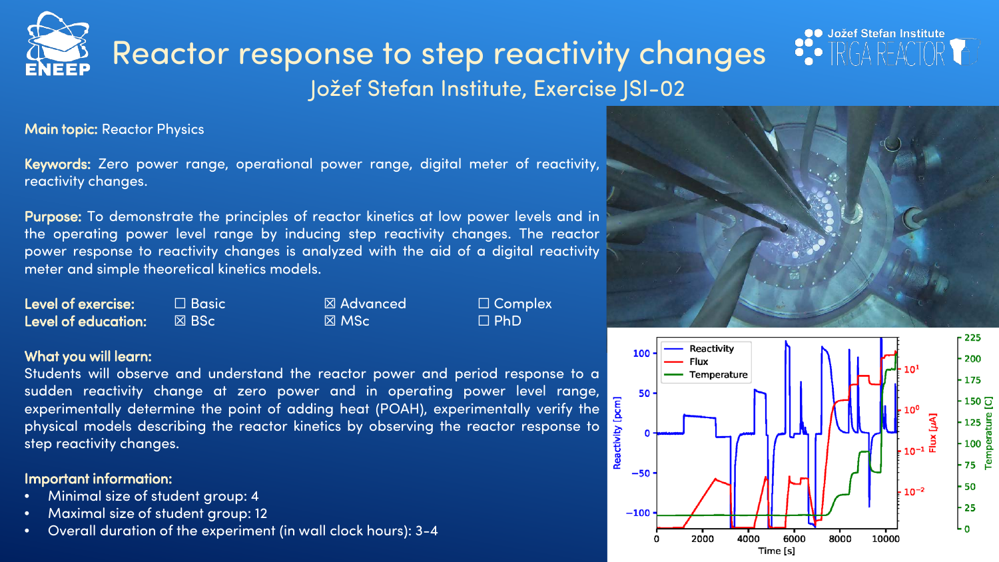# Jožef Stefan Institute, Exercise JSI-02 Reactor response to step reactivity changes

Main topic: Reactor Physics

Keywords: Zero power range, operational power range, digital meter of reactivity, reactivity changes.

Purpose: To demonstrate the principles of reactor kinetics at low power levels and in the operating power level range by inducing step reactivity changes. The reactor power response to reactivity changes is analyzed with the aid of a digital reactivity meter and simple theoretical kinetics models.

| <b>Level of exercise:</b> | $\Box$ Basic $\breve{}$ | ⊠ Advanced      | $\Box$ Complex |
|---------------------------|-------------------------|-----------------|----------------|
| Level of education:       | I⊠ BSc '                | $\boxtimes$ MSc | $\Box$ PhD     |

#### What you will learn:

Students will observe and understand the reactor power and period response to a sudden reactivity change at zero power and in operating power level range, experimentally determine the point of adding heat (POAH), experimentally verify the physical models describing the reactor kinetics by observing the reactor response to step reactivity changes.

### Important information:

- Minimal size of student group: 4
- Maximal size of student group: 12
- Overall duration of the experiment (in wall clock hours): 3-4



 $\bullet$ 

**OO** Jožef Stefan Institute